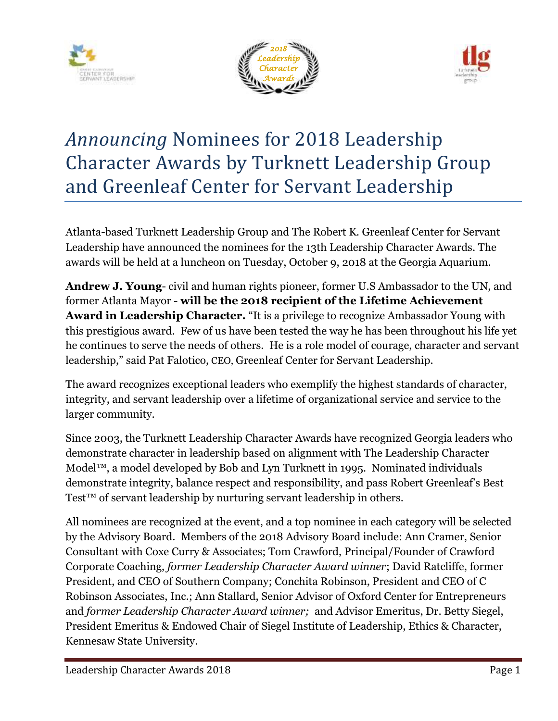





# *Announcing* Nominees for 2018 Leadership Character Awards by Turknett Leadership Group and Greenleaf Center for Servant Leadership

Atlanta-based Turknett Leadership Group and The Robert K. Greenleaf Center for Servant Leadership have announced the nominees for the 13th Leadership Character Awards. The awards will be held at a luncheon on Tuesday, October 9, 2018 at the Georgia Aquarium.

**Andrew J. Young**- civil and human rights pioneer, former U.S Ambassador to the UN, and former Atlanta Mayor - **will be the 2018 recipient of the Lifetime Achievement Award in Leadership Character.** "It is a privilege to recognize Ambassador Young with this prestigious award. Few of us have been tested the way he has been throughout his life yet he continues to serve the needs of others. He is a role model of courage, character and servant leadership," said Pat Falotico, CEO, Greenleaf Center for Servant Leadership.

The award recognizes exceptional leaders who exemplify the highest standards of character, integrity, and servant leadership over a lifetime of organizational service and service to the larger community.

Since 2003, the Turknett Leadership Character Awards have recognized Georgia leaders who demonstrate character in leadership based on alignment with The Leadership Character Model™, a model developed by Bob and Lyn Turknett in 1995. Nominated individuals demonstrate integrity, balance respect and responsibility, and pass Robert Greenleaf's Best Test<sup>™</sup> of servant leadership by nurturing servant leadership in others.

All nominees are recognized at the event, and a top nominee in each category will be selected by the Advisory Board. Members of the 2018 Advisory Board include: Ann Cramer, Senior Consultant with Coxe Curry & Associates; Tom Crawford, Principal/Founder of Crawford Corporate Coaching, *former Leadership Character Award winner*; David Ratcliffe, former President, and CEO of Southern Company; Conchita Robinson, President and CEO of C Robinson Associates, Inc.; Ann Stallard, Senior Advisor of Oxford Center for Entrepreneurs and *former Leadership Character Award winner;* and Advisor Emeritus, Dr. Betty Siegel, President Emeritus & Endowed Chair of Siegel Institute of Leadership, Ethics & Character, Kennesaw State University.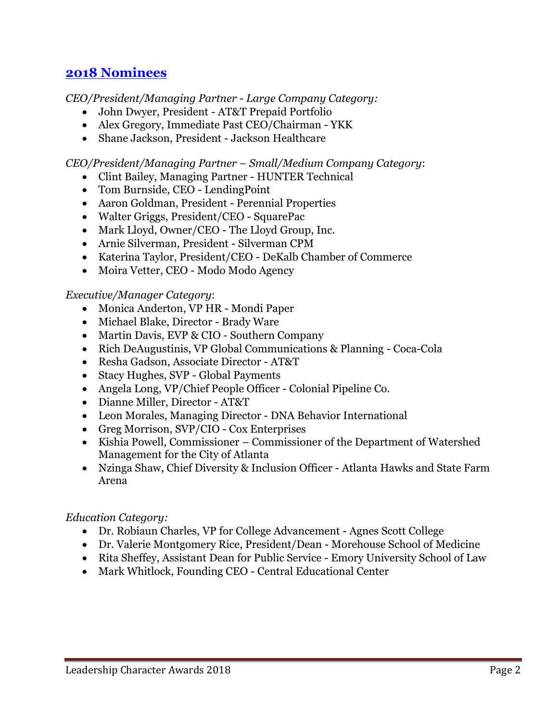## **2018 [Nominees](https://www.leadershipcharacterawards.org/2018-nominees/)**

*CEO/President/Managing Partner - Large Company Category:* 

- John Dwyer, President AT&T Prepaid Portfolio
- Alex Gregory, Immediate Past CEO/Chairman YKK
- Shane Jackson, President Jackson Healthcare

*CEO/President/Managing Partner – Small/Medium Company Category*:

- Clint Bailey, Managing Partner HUNTER Technical
- Tom Burnside, CEO LendingPoint
- Aaron Goldman, President Perennial Properties
- Walter Griggs, President/CEO SquarePac
- Mark Lloyd, Owner/CEO The Lloyd Group, Inc.
- Arnie Silverman, President Silverman CPM
- Katerina Taylor, President/CEO DeKalb Chamber of Commerce
- Moira Vetter, CEO Modo Modo Agency

#### *Executive/Manager Category*:

- Monica Anderton, VP HR Mondi Paper
- Michael Blake, Director Brady Ware
- Martin Davis, EVP & CIO Southern Company
- Rich DeAugustinis, VP Global Communications & Planning Coca-Cola
- Resha Gadson, Associate Director AT&T
- Stacy Hughes, SVP Global Payments
- Angela Long, VP/Chief People Officer Colonial Pipeline Co.
- Dianne Miller, Director AT&T
- Leon Morales, Managing Director DNA Behavior International
- Greg Morrison, SVP/CIO Cox Enterprises
- Kishia Powell, Commissioner Commissioner of the Department of Watershed Management for the City of Atlanta
- Nzinga Shaw, Chief Diversity & Inclusion Officer Atlanta Hawks and State Farm Arena

#### *Education Category:*

- Dr. Robiaun Charles, VP for College Advancement Agnes Scott College
- Dr. Valerie Montgomery Rice, President/Dean Morehouse School of Medicine
- Rita Sheffey, Assistant Dean for Public Service Emory University School of Law
- Mark Whitlock, Founding CEO Central Educational Center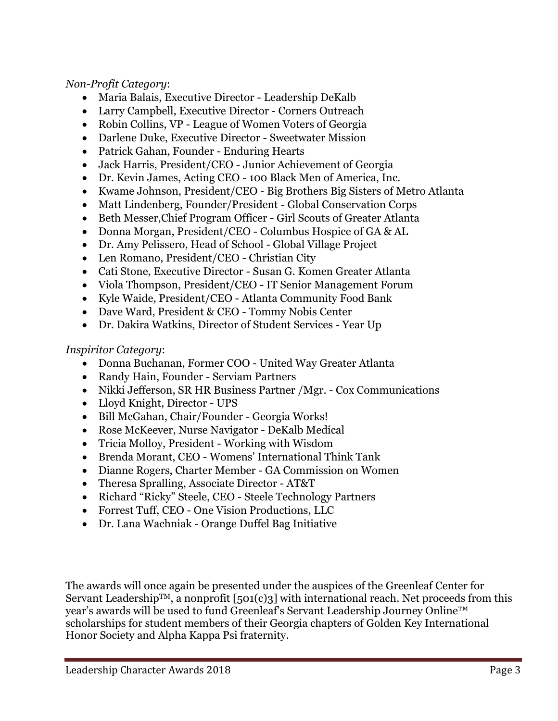#### *Non-Profit Category*:

- Maria Balais, Executive Director Leadership DeKalb
- Larry Campbell, Executive Director Corners Outreach
- Robin Collins, VP League of Women Voters of Georgia
- Darlene Duke, Executive Director Sweetwater Mission
- Patrick Gahan, Founder Enduring Hearts
- Jack Harris, President/CEO Junior Achievement of Georgia
- Dr. Kevin James, Acting CEO 100 Black Men of America, Inc.
- Kwame Johnson, President/CEO Big Brothers Big Sisters of Metro Atlanta
- Matt Lindenberg, Founder/President Global Conservation Corps
- Beth Messer,Chief Program Officer Girl Scouts of Greater Atlanta
- Donna Morgan, President/CEO Columbus Hospice of GA & AL
- Dr. Amy Pelissero, Head of School Global Village Project
- Len Romano, President/CEO Christian City
- Cati Stone, Executive Director Susan G. Komen Greater Atlanta
- Viola Thompson, President/CEO IT Senior Management Forum
- Kyle Waide, President/CEO Atlanta Community Food Bank
- Dave Ward, President & CEO Tommy Nobis Center
- Dr. Dakira Watkins, Director of Student Services Year Up

#### *Inspiritor Category*:

- Donna Buchanan, Former COO United Way Greater Atlanta
- Randy Hain, Founder Serviam Partners
- Nikki Jefferson, SR HR Business Partner /Mgr. Cox Communications
- Lloyd Knight, Director UPS
- Bill McGahan, Chair/Founder Georgia Works!
- Rose McKeever, Nurse Navigator DeKalb Medical
- Tricia Molloy, President Working with Wisdom
- Brenda Morant, CEO Womens' International Think Tank
- Dianne Rogers, Charter Member GA Commission on Women
- Theresa Spralling, Associate Director AT&T
- Richard "Ricky" Steele, CEO Steele Technology Partners
- Forrest Tuff, CEO One Vision Productions, LLC
- Dr. Lana Wachniak Orange Duffel Bag Initiative

The awards will once again be presented under the auspices of the Greenleaf Center for Servant Leadership<sup>TM</sup>, a nonprofit [501(c)3] with international reach. Net proceeds from this year's awards will be used to fund Greenleaf's Servant Leadership Journey Online™ scholarships for student members of their Georgia chapters of Golden Key International Honor Society and Alpha Kappa Psi fraternity.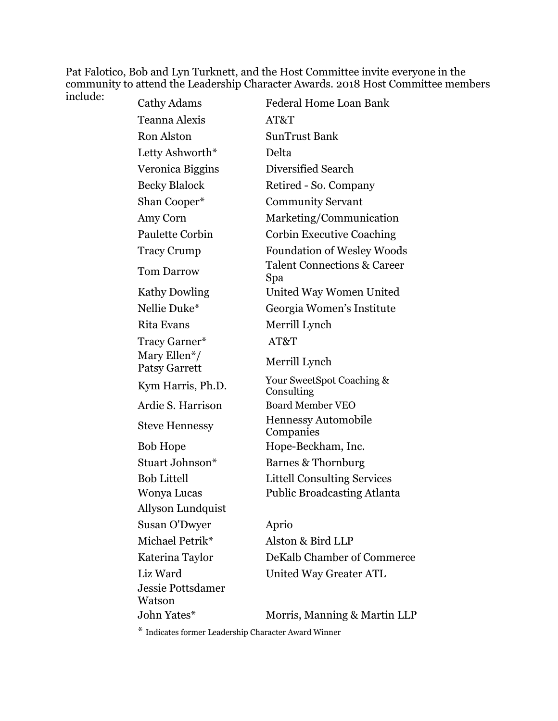Pat Falotico, Bob and Lyn Turknett, and the Host Committee invite everyone in the community to attend the Leadership Character Awards. 2018 Host Committee members

| include: | Cathy Adams                                       | Federal Home Loan Bank                        |
|----------|---------------------------------------------------|-----------------------------------------------|
|          | Teanna Alexis                                     | AT&T                                          |
|          | <b>Ron Alston</b>                                 | <b>SunTrust Bank</b>                          |
|          | Letty Ashworth*                                   | Delta                                         |
|          | Veronica Biggins                                  | Diversified Search                            |
|          | <b>Becky Blalock</b>                              | Retired - So. Company                         |
|          | Shan Cooper*                                      | <b>Community Servant</b>                      |
|          | Amy Corn                                          | Marketing/Communication                       |
|          | Paulette Corbin                                   | <b>Corbin Executive Coaching</b>              |
|          | <b>Tracy Crump</b>                                | <b>Foundation of Wesley Woods</b>             |
|          | <b>Tom Darrow</b>                                 | <b>Talent Connections &amp; Career</b><br>Spa |
|          | <b>Kathy Dowling</b>                              | United Way Women United                       |
|          | Nellie Duke*                                      | Georgia Women's Institute                     |
|          | <b>Rita Evans</b>                                 | Merrill Lynch                                 |
|          | Tracy Garner*                                     | AT&T                                          |
|          | Mary Ellen <sup>*</sup> /<br><b>Patsy Garrett</b> | Merrill Lynch                                 |
|          | Kym Harris, Ph.D.                                 | Your SweetSpot Coaching &<br>Consulting       |
|          | Ardie S. Harrison                                 | <b>Board Member VEO</b>                       |
|          | <b>Steve Hennessy</b>                             | Hennessy Automobile<br>Companies              |
|          | <b>Bob Hope</b>                                   | Hope-Beckham, Inc.                            |
|          | Stuart Johnson*                                   | Barnes & Thornburg                            |
|          | <b>Bob Littell</b>                                | <b>Littell Consulting Services</b>            |
|          | Wonya Lucas                                       | <b>Public Broadcasting Atlanta</b>            |
|          | Allyson Lundquist                                 |                                               |
|          | Susan O'Dwyer                                     | Aprio                                         |
|          | Michael Petrik*                                   | Alston & Bird LLP                             |
|          | Katerina Taylor                                   | DeKalb Chamber of Commerce                    |
|          | Liz Ward                                          | United Way Greater ATL                        |
|          | <b>Jessie Pottsdamer</b><br>Watson                |                                               |
|          | John Yates*                                       | Morris, Manning & Martin LLP                  |

\* Indicates former Leadership Character Award Winner